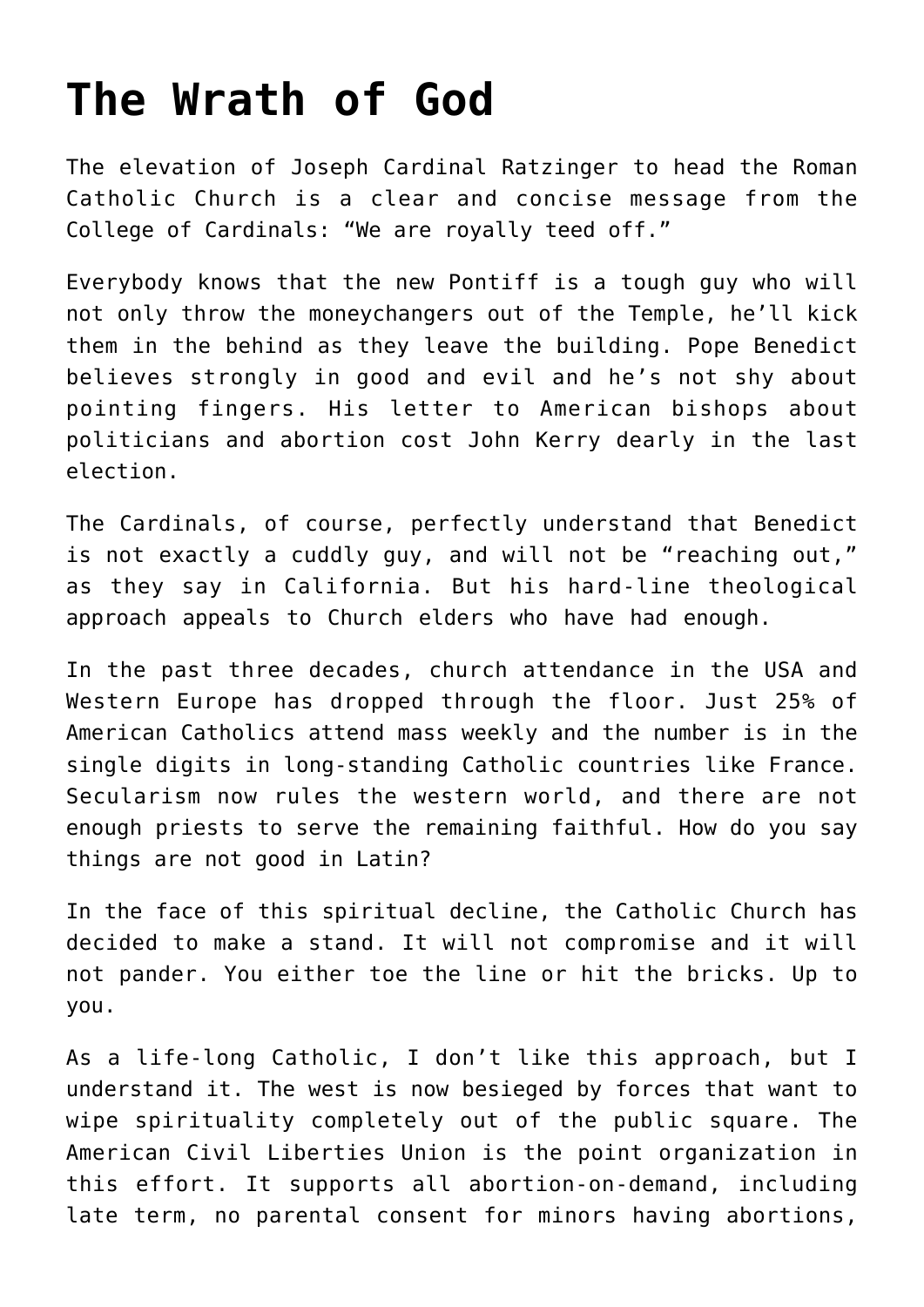## **[The Wrath of God](https://bernardgoldberg.com/the-wrath-of-god-3/)**

The elevation of Joseph Cardinal Ratzinger to head the Roman Catholic Church is a clear and concise message from the College of Cardinals: "We are royally teed off."

Everybody knows that the new Pontiff is a tough guy who will not only throw the moneychangers out of the Temple, he'll kick them in the behind as they leave the building. Pope Benedict believes strongly in good and evil and he's not shy about pointing fingers. His letter to American bishops about politicians and abortion cost John Kerry dearly in the last election.

The Cardinals, of course, perfectly understand that Benedict is not exactly a cuddly guy, and will not be "reaching out," as they say in California. But his hard-line theological approach appeals to Church elders who have had enough.

In the past three decades, church attendance in the USA and Western Europe has dropped through the floor. Just 25% of American Catholics attend mass weekly and the number is in the single digits in long-standing Catholic countries like France. Secularism now rules the western world, and there are not enough priests to serve the remaining faithful. How do you say things are not good in Latin?

In the face of this spiritual decline, the Catholic Church has decided to make a stand. It will not compromise and it will not pander. You either toe the line or hit the bricks. Up to you.

As a life-long Catholic, I don't like this approach, but I understand it. The west is now besieged by forces that want to wipe spirituality completely out of the public square. The American Civil Liberties Union is the point organization in this effort. It supports all abortion-on-demand, including late term, no parental consent for minors having abortions,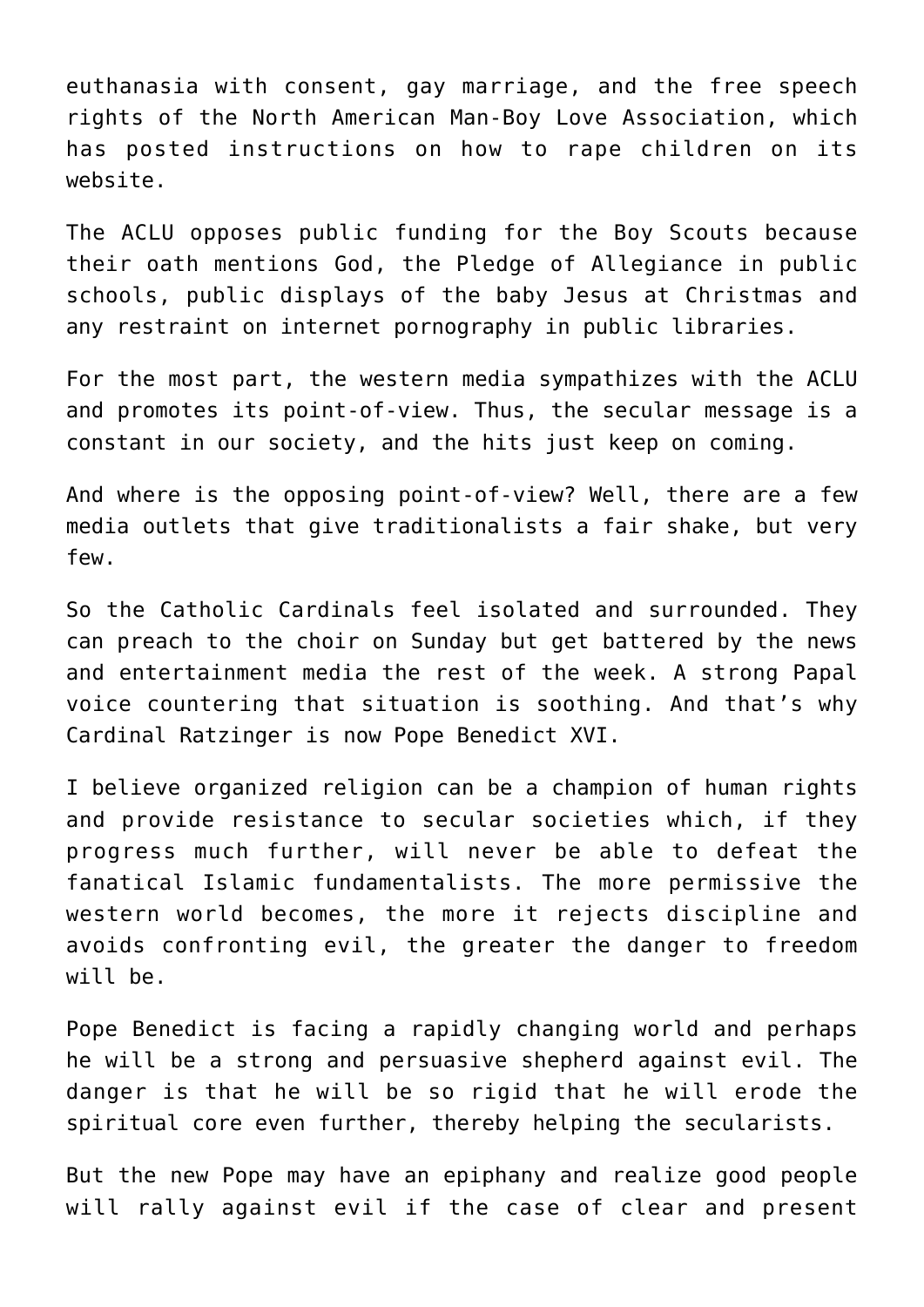euthanasia with consent, gay marriage, and the free speech rights of the North American Man-Boy Love Association, which has posted instructions on how to rape children on its website.

The ACLU opposes public funding for the Boy Scouts because their oath mentions God, the Pledge of Allegiance in public schools, public displays of the baby Jesus at Christmas and any restraint on internet pornography in public libraries.

For the most part, the western media sympathizes with the ACLU and promotes its point-of-view. Thus, the secular message is a constant in our society, and the hits just keep on coming.

And where is the opposing point-of-view? Well, there are a few media outlets that give traditionalists a fair shake, but very few.

So the Catholic Cardinals feel isolated and surrounded. They can preach to the choir on Sunday but get battered by the news and entertainment media the rest of the week. A strong Papal voice countering that situation is soothing. And that's why Cardinal Ratzinger is now Pope Benedict XVI.

I believe organized religion can be a champion of human rights and provide resistance to secular societies which, if they progress much further, will never be able to defeat the fanatical Islamic fundamentalists. The more permissive the western world becomes, the more it rejects discipline and avoids confronting evil, the greater the danger to freedom will be.

Pope Benedict is facing a rapidly changing world and perhaps he will be a strong and persuasive shepherd against evil. The danger is that he will be so rigid that he will erode the spiritual core even further, thereby helping the secularists.

But the new Pope may have an epiphany and realize good people will rally against evil if the case of clear and present